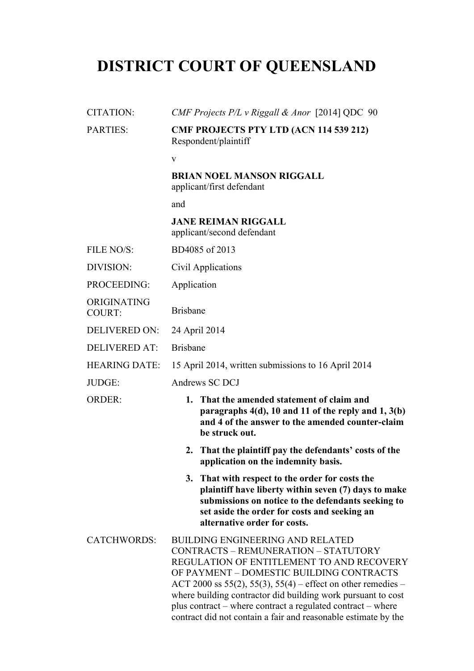# **DISTRICT COURT OF QUEENSLAND**

| <b>CITATION:</b>             | CMF Projects $P/L$ v Riggall & Anor [2014] QDC 90                                                                                                                                                                                                                                                                                                                                                                                         |
|------------------------------|-------------------------------------------------------------------------------------------------------------------------------------------------------------------------------------------------------------------------------------------------------------------------------------------------------------------------------------------------------------------------------------------------------------------------------------------|
| <b>PARTIES:</b>              | <b>CMF PROJECTS PTY LTD (ACN 114 539 212)</b><br>Respondent/plaintiff                                                                                                                                                                                                                                                                                                                                                                     |
|                              | $\mathbf{V}$                                                                                                                                                                                                                                                                                                                                                                                                                              |
|                              | <b>BRIAN NOEL MANSON RIGGALL</b><br>applicant/first defendant                                                                                                                                                                                                                                                                                                                                                                             |
|                              | and                                                                                                                                                                                                                                                                                                                                                                                                                                       |
|                              | <b>JANE REIMAN RIGGALL</b><br>applicant/second defendant                                                                                                                                                                                                                                                                                                                                                                                  |
| FILE NO/S:                   | BD4085 of 2013                                                                                                                                                                                                                                                                                                                                                                                                                            |
| DIVISION:                    | Civil Applications                                                                                                                                                                                                                                                                                                                                                                                                                        |
| PROCEEDING:                  | Application                                                                                                                                                                                                                                                                                                                                                                                                                               |
| ORIGINATING<br><b>COURT:</b> | <b>Brisbane</b>                                                                                                                                                                                                                                                                                                                                                                                                                           |
| <b>DELIVERED ON:</b>         | 24 April 2014                                                                                                                                                                                                                                                                                                                                                                                                                             |
| <b>DELIVERED AT:</b>         | <b>Brisbane</b>                                                                                                                                                                                                                                                                                                                                                                                                                           |
| <b>HEARING DATE:</b>         | 15 April 2014, written submissions to 16 April 2014                                                                                                                                                                                                                                                                                                                                                                                       |
| JUDGE:                       | Andrews SC DCJ                                                                                                                                                                                                                                                                                                                                                                                                                            |
| <b>ORDER:</b>                | 1. That the amended statement of claim and<br>paragraphs $4(d)$ , 10 and 11 of the reply and 1, $3(b)$<br>and 4 of the answer to the amended counter-claim<br>be struck out.                                                                                                                                                                                                                                                              |
|                              | 2. That the plaintiff pay the defendants' costs of the<br>application on the indemnity basis.                                                                                                                                                                                                                                                                                                                                             |
|                              | 3. That with respect to the order for costs the<br>plaintiff have liberty within seven (7) days to make<br>submissions on notice to the defendants seeking to<br>set aside the order for costs and seeking an<br>alternative order for costs.                                                                                                                                                                                             |
| <b>CATCHWORDS:</b>           | <b>BUILDING ENGINEERING AND RELATED</b><br>CONTRACTS - REMUNERATION - STATUTORY<br>REGULATION OF ENTITLEMENT TO AND RECOVERY<br>OF PAYMENT - DOMESTIC BUILDING CONTRACTS<br>ACT 2000 ss 55(2), 55(3), 55(4) – effect on other remedies –<br>where building contractor did building work pursuant to cost<br>plus contract – where contract a regulated contract – where<br>contract did not contain a fair and reasonable estimate by the |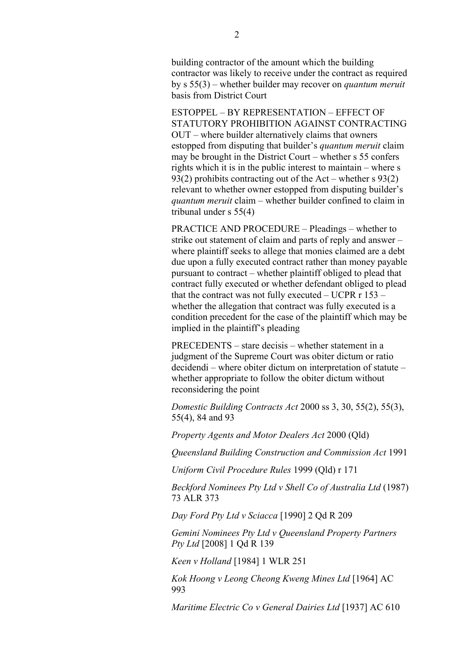building contractor of the amount which the building contractor was likely to receive under the contract as required by s 55(3) – whether builder may recover on *quantum meruit* basis from District Court

ESTOPPEL – BY REPRESENTATION – EFFECT OF STATUTORY PROHIBITION AGAINST CONTRACTING OUT – where builder alternatively claims that owners estopped from disputing that builder's *quantum meruit* claim may be brought in the District Court – whether s 55 confers rights which it is in the public interest to maintain – where s 93(2) prohibits contracting out of the Act – whether s 93(2) relevant to whether owner estopped from disputing builder's *quantum meruit* claim – whether builder confined to claim in tribunal under s 55(4)

PRACTICE AND PROCEDURE – Pleadings – whether to strike out statement of claim and parts of reply and answer – where plaintiff seeks to allege that monies claimed are a debt due upon a fully executed contract rather than money payable pursuant to contract – whether plaintiff obliged to plead that contract fully executed or whether defendant obliged to plead that the contract was not fully executed  $-$  UCPR  $r$  153  $$ whether the allegation that contract was fully executed is a condition precedent for the case of the plaintiff which may be implied in the plaintiff's pleading

PRECEDENTS – stare decisis – whether statement in a judgment of the Supreme Court was obiter dictum or ratio decidendi – where obiter dictum on interpretation of statute – whether appropriate to follow the obiter dictum without reconsidering the point

*Domestic Building Contracts Act* 2000 ss 3, 30, 55(2), 55(3), 55(4), 84 and 93

*Property Agents and Motor Dealers Act* 2000 (Qld)

*Queensland Building Construction and Commission Act* 1991

*Uniform Civil Procedure Rules* 1999 (Qld) r 171

*Beckford Nominees Pty Ltd v Shell Co of Australia Ltd* (1987) 73 ALR 373

*Day Ford Pty Ltd v Sciacca* [1990] 2 Qd R 209

*Gemini Nominees Pty Ltd v Queensland Property Partners Pty Ltd* [2008] 1 Qd R 139

*Keen v Holland* [1984] 1 WLR 251

*Kok Hoong v Leong Cheong Kweng Mines Ltd* [1964] AC 993

*Maritime Electric Co v General Dairies Ltd* [1937] AC 610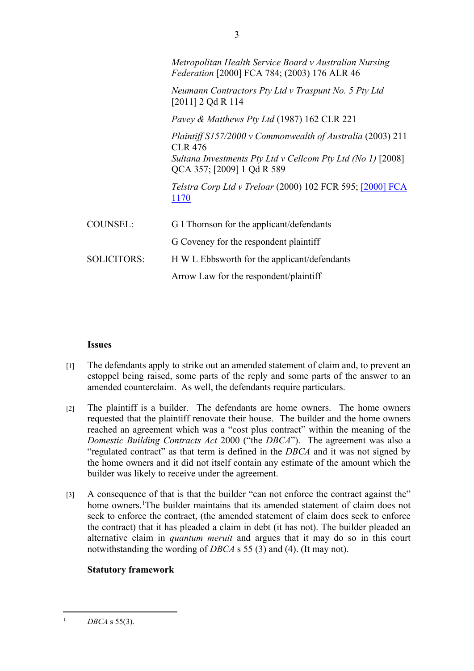|                    | Metropolitan Health Service Board v Australian Nursing<br><i>Federation</i> [2000] FCA 784; (2003) 176 ALR 46 |
|--------------------|---------------------------------------------------------------------------------------------------------------|
|                    | Neumann Contractors Pty Ltd v Traspunt No. 5 Pty Ltd<br>$[2011]$ 2 Qd R 114                                   |
|                    | <i>Pavey &amp; Matthews Pty Ltd</i> (1987) 162 CLR 221                                                        |
|                    | Plaintiff $S157/2000$ v Commonwealth of Australia (2003) 211<br><b>CLR 476</b>                                |
|                    | Sultana Investments Pty Ltd v Cellcom Pty Ltd (No 1) [2008]<br>QCA 357; [2009] 1 Qd R 589                     |
|                    | <i>Telstra Corp Ltd v Treloar</i> (2000) 102 FCR 595; [2000] FCA<br>1170                                      |
| <b>COUNSEL:</b>    | G I Thomson for the applicant/defendants                                                                      |
|                    | G Coveney for the respondent plaintiff                                                                        |
| <b>SOLICITORS:</b> | H W L Ebbsworth for the applicant/defendants                                                                  |
|                    | Arrow Law for the respondent/plaintiff                                                                        |

#### **Issues**

- [1] The defendants apply to strike out an amended statement of claim and, to prevent an estoppel being raised, some parts of the reply and some parts of the answer to an amended counterclaim. As well, the defendants require particulars.
- [2] The plaintiff is a builder. The defendants are home owners. The home owners requested that the plaintiff renovate their house. The builder and the home owners reached an agreement which was a "cost plus contract" within the meaning of the *Domestic Building Contracts Act* 2000 ("the *DBCA*"). The agreement was also a "regulated contract" as that term is defined in the *DBCA* and it was not signed by the home owners and it did not itself contain any estimate of the amount which the builder was likely to receive under the agreement.
- [3] A consequence of that is that the builder "can not enforce the contract against the" home owners.<sup>1</sup>The builder maintains that its amended statement of claim does not seek to enforce the contract, (the amended statement of claim does seek to enforce the contract) that it has pleaded a claim in debt (it has not). The builder pleaded an alternative claim in *quantum meruit* and argues that it may do so in this court notwithstanding the wording of *DBCA* s 55 (3) and (4). (It may not).

# **Statutory framework**

<sup>1</sup> *DBCA* s 55(3).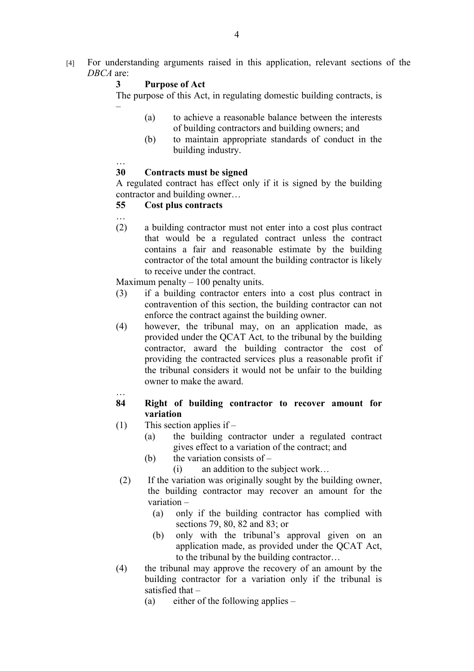[4] For understanding arguments raised in this application, relevant sections of the *DBCA* are:

# **3 Purpose of Act**

The purpose of this Act, in regulating domestic building contracts, is –

- (a) to achieve a reasonable balance between the interests of building contractors and building owners; and
- (b) to maintain appropriate standards of conduct in the building industry.

#### …

## **30 Contracts must be signed**

A regulated contract has effect only if it is signed by the building contractor and building owner…

## **55 Cost plus contracts**

…

(2) a building contractor must not enter into a cost plus contract that would be a regulated contract unless the contract contains a fair and reasonable estimate by the building contractor of the total amount the building contractor is likely to receive under the contract.

Maximum penalty  $-100$  penalty units.

- (3) if a building contractor enters into a cost plus contract in contravention of this section, the building contractor can not enforce the contract against the building owner.
- (4) however, the tribunal may, on an application made, as provided under the QCAT Act*,* to the tribunal by the building contractor, award the building contractor the cost of providing the contracted services plus a reasonable profit if the tribunal considers it would not be unfair to the building owner to make the award.

## **84 Right of building contractor to recover amount for variation**

- (1) This section applies if
	- (a) the building contractor under a regulated contract gives effect to a variation of the contract; and
	- (b) the variation consists of  $-$ 
		- (i) an addition to the subject work…
- (2) If the variation was originally sought by the building owner, the building contractor may recover an amount for the variation –
	- (a) only if the building contractor has complied with sections 79, 80, 82 and 83; or
	- (b) only with the tribunal's approval given on an application made, as provided under the QCAT Act, to the tribunal by the building contractor…
- (4) the tribunal may approve the recovery of an amount by the building contractor for a variation only if the tribunal is satisfied that –
	- (a) either of the following applies –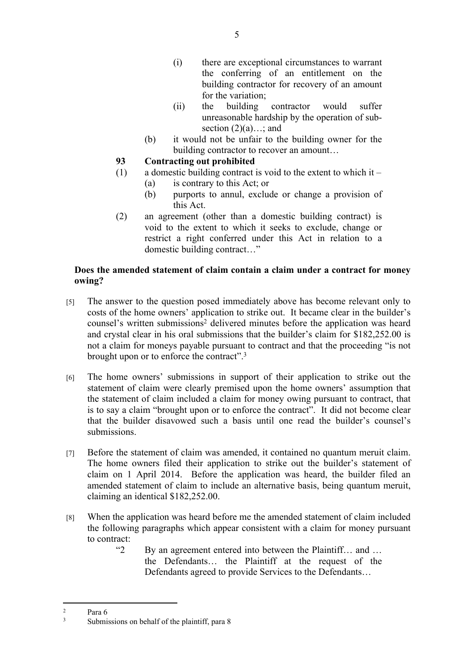- (i) there are exceptional circumstances to warrant the conferring of an entitlement on the building contractor for recovery of an amount for the variation;
- (ii) the building contractor would suffer unreasonable hardship by the operation of subsection  $(2)(a)$ ...; and
- (b) it would not be unfair to the building owner for the building contractor to recover an amount…
- **93 Contracting out prohibited**
- (1) a domestic building contract is void to the extent to which it
	- (a) is contrary to this Act; or
	- (b) purports to annul, exclude or change a provision of this Act.
- (2) an agreement (other than a domestic building contract) is void to the extent to which it seeks to exclude, change or restrict a right conferred under this Act in relation to a domestic building contract…"

# **Does the amended statement of claim contain a claim under a contract for money owing?**

- [5] The answer to the question posed immediately above has become relevant only to costs of the home owners' application to strike out. It became clear in the builder's counsel's written submissions<sup>2</sup> delivered minutes before the application was heard and crystal clear in his oral submissions that the builder's claim for \$182,252.00 is not a claim for moneys payable pursuant to contract and that the proceeding "is not brought upon or to enforce the contract".<sup>3</sup>
- [6] The home owners' submissions in support of their application to strike out the statement of claim were clearly premised upon the home owners' assumption that the statement of claim included a claim for money owing pursuant to contract, that is to say a claim "brought upon or to enforce the contract". It did not become clear that the builder disavowed such a basis until one read the builder's counsel's submissions.
- [7] Before the statement of claim was amended, it contained no quantum meruit claim. The home owners filed their application to strike out the builder's statement of claim on 1 April 2014. Before the application was heard, the builder filed an amended statement of claim to include an alternative basis, being quantum meruit, claiming an identical \$182,252.00.
- [8] When the application was heard before me the amended statement of claim included the following paragraphs which appear consistent with a claim for money pursuant to contract:
	- "2 By an agreement entered into between the Plaintiff… and … the Defendants… the Plaintiff at the request of the Defendants agreed to provide Services to the Defendants…

<sup>&</sup>lt;sup>2</sup> Para 6

Submissions on behalf of the plaintiff, para 8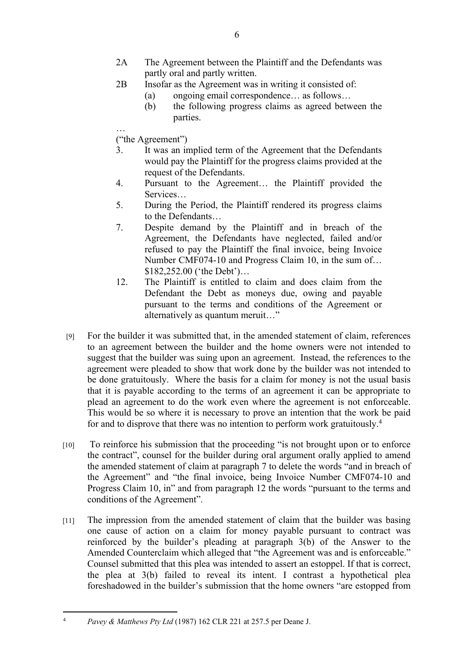- 2A The Agreement between the Plaintiff and the Defendants was partly oral and partly written.
- 2B Insofar as the Agreement was in writing it consisted of:
	- (a) ongoing email correspondence… as follows…
	- (b) the following progress claims as agreed between the parties.
- … ("the Agreement")
- 3. It was an implied term of the Agreement that the Defendants would pay the Plaintiff for the progress claims provided at the request of the Defendants.
- 4. Pursuant to the Agreement… the Plaintiff provided the **Services**
- 5. During the Period, the Plaintiff rendered its progress claims to the Defendants…
- 7. Despite demand by the Plaintiff and in breach of the Agreement, the Defendants have neglected, failed and/or refused to pay the Plaintiff the final invoice, being Invoice Number CMF074-10 and Progress Claim 10, in the sum of… \$182,252.00 ('the Debt')…
- 12. The Plaintiff is entitled to claim and does claim from the Defendant the Debt as moneys due, owing and payable pursuant to the terms and conditions of the Agreement or alternatively as quantum meruit…"
- [9] For the builder it was submitted that, in the amended statement of claim, references to an agreement between the builder and the home owners were not intended to suggest that the builder was suing upon an agreement. Instead, the references to the agreement were pleaded to show that work done by the builder was not intended to be done gratuitously. Where the basis for a claim for money is not the usual basis that it is payable according to the terms of an agreement it can be appropriate to plead an agreement to do the work even where the agreement is not enforceable. This would be so where it is necessary to prove an intention that the work be paid for and to disprove that there was no intention to perform work gratuitously.<sup>4</sup>
- [10] To reinforce his submission that the proceeding "is not brought upon or to enforce the contract", counsel for the builder during oral argument orally applied to amend the amended statement of claim at paragraph 7 to delete the words "and in breach of the Agreement" and "the final invoice, being Invoice Number CMF074-10 and Progress Claim 10, in" and from paragraph 12 the words "pursuant to the terms and conditions of the Agreement".
- [11] The impression from the amended statement of claim that the builder was basing one cause of action on a claim for money payable pursuant to contract was reinforced by the builder's pleading at paragraph 3(b) of the Answer to the Amended Counterclaim which alleged that "the Agreement was and is enforceable." Counsel submitted that this plea was intended to assert an estoppel. If that is correct, the plea at 3(b) failed to reveal its intent. I contrast a hypothetical plea foreshadowed in the builder's submission that the home owners "are estopped from

<sup>4</sup> *Pavey & Matthews Pty Ltd* (1987) 162 CLR 221 at 257.5 per Deane J.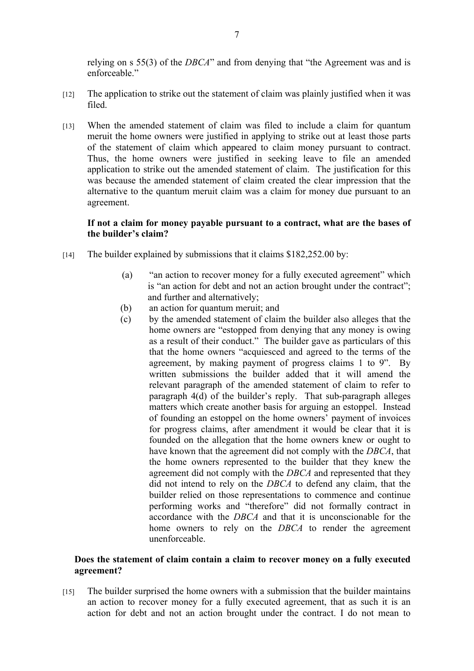relying on s 55(3) of the *DBCA*" and from denying that "the Agreement was and is enforceable."

- [12] The application to strike out the statement of claim was plainly justified when it was filed.
- [13] When the amended statement of claim was filed to include a claim for quantum meruit the home owners were justified in applying to strike out at least those parts of the statement of claim which appeared to claim money pursuant to contract. Thus, the home owners were justified in seeking leave to file an amended application to strike out the amended statement of claim. The justification for this was because the amended statement of claim created the clear impression that the alternative to the quantum meruit claim was a claim for money due pursuant to an agreement.

### **If not a claim for money payable pursuant to a contract, what are the bases of the builder's claim?**

- [14] The builder explained by submissions that it claims \$182,252.00 by:
	- (a) "an action to recover money for a fully executed agreement" which is "an action for debt and not an action brought under the contract"; and further and alternatively;
	- (b) an action for quantum meruit; and
	- (c) by the amended statement of claim the builder also alleges that the home owners are "estopped from denying that any money is owing as a result of their conduct." The builder gave as particulars of this that the home owners "acquiesced and agreed to the terms of the agreement, by making payment of progress claims 1 to 9". By written submissions the builder added that it will amend the relevant paragraph of the amended statement of claim to refer to paragraph 4(d) of the builder's reply. That sub-paragraph alleges matters which create another basis for arguing an estoppel. Instead of founding an estoppel on the home owners' payment of invoices for progress claims, after amendment it would be clear that it is founded on the allegation that the home owners knew or ought to have known that the agreement did not comply with the *DBCA*, that the home owners represented to the builder that they knew the agreement did not comply with the *DBCA* and represented that they did not intend to rely on the *DBCA* to defend any claim, that the builder relied on those representations to commence and continue performing works and "therefore" did not formally contract in accordance with the *DBCA* and that it is unconscionable for the home owners to rely on the *DBCA* to render the agreement unenforceable.

#### **Does the statement of claim contain a claim to recover money on a fully executed agreement?**

[15] The builder surprised the home owners with a submission that the builder maintains an action to recover money for a fully executed agreement, that as such it is an action for debt and not an action brought under the contract. I do not mean to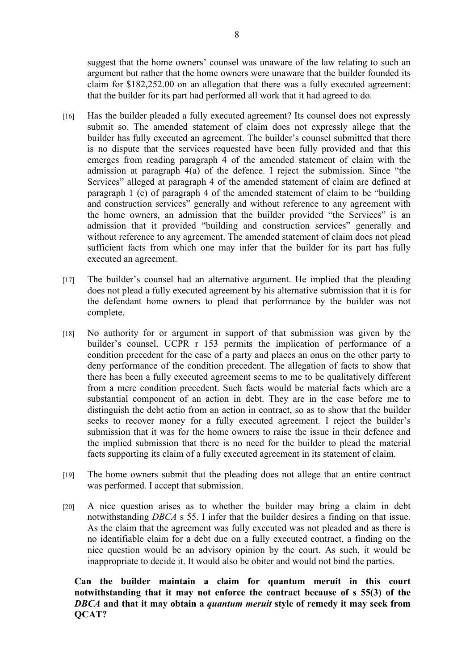suggest that the home owners' counsel was unaware of the law relating to such an argument but rather that the home owners were unaware that the builder founded its claim for \$182,252.00 on an allegation that there was a fully executed agreement: that the builder for its part had performed all work that it had agreed to do.

- [16] Has the builder pleaded a fully executed agreement? Its counsel does not expressly submit so. The amended statement of claim does not expressly allege that the builder has fully executed an agreement. The builder's counsel submitted that there is no dispute that the services requested have been fully provided and that this emerges from reading paragraph 4 of the amended statement of claim with the admission at paragraph 4(a) of the defence. I reject the submission. Since "the Services" alleged at paragraph 4 of the amended statement of claim are defined at paragraph 1 (c) of paragraph 4 of the amended statement of claim to be "building and construction services" generally and without reference to any agreement with the home owners, an admission that the builder provided "the Services" is an admission that it provided "building and construction services" generally and without reference to any agreement. The amended statement of claim does not plead sufficient facts from which one may infer that the builder for its part has fully executed an agreement.
- [17] The builder's counsel had an alternative argument. He implied that the pleading does not plead a fully executed agreement by his alternative submission that it is for the defendant home owners to plead that performance by the builder was not complete.
- [18] No authority for or argument in support of that submission was given by the builder's counsel. UCPR r 153 permits the implication of performance of a condition precedent for the case of a party and places an onus on the other party to deny performance of the condition precedent. The allegation of facts to show that there has been a fully executed agreement seems to me to be qualitatively different from a mere condition precedent. Such facts would be material facts which are a substantial component of an action in debt. They are in the case before me to distinguish the debt actio from an action in contract, so as to show that the builder seeks to recover money for a fully executed agreement. I reject the builder's submission that it was for the home owners to raise the issue in their defence and the implied submission that there is no need for the builder to plead the material facts supporting its claim of a fully executed agreement in its statement of claim.
- [19] The home owners submit that the pleading does not allege that an entire contract was performed. I accept that submission.
- [20] A nice question arises as to whether the builder may bring a claim in debt notwithstanding *DBCA* s 55. I infer that the builder desires a finding on that issue. As the claim that the agreement was fully executed was not pleaded and as there is no identifiable claim for a debt due on a fully executed contract, a finding on the nice question would be an advisory opinion by the court. As such, it would be inappropriate to decide it. It would also be obiter and would not bind the parties.

**Can the builder maintain a claim for quantum meruit in this court notwithstanding that it may not enforce the contract because of s 55(3) of the**  *DBCA* **and that it may obtain a** *quantum meruit* **style of remedy it may seek from QCAT?**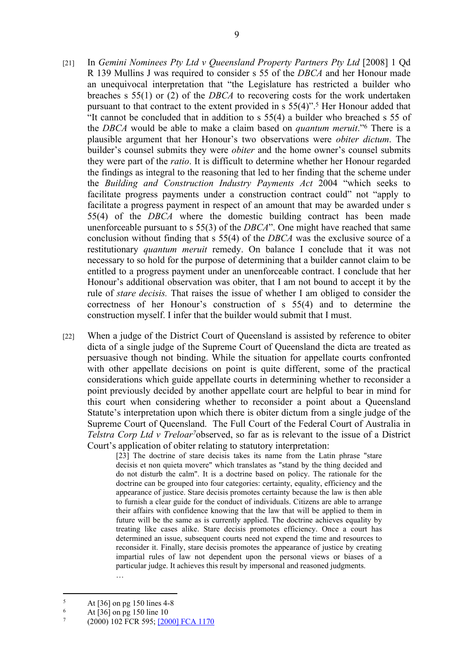- [21] In *Gemini Nominees Pty Ltd v Queensland Property Partners Pty Ltd* [2008] 1 Qd R 139 Mullins J was required to consider s 55 of the *DBCA* and her Honour made an unequivocal interpretation that "the Legislature has restricted a builder who breaches s 55(1) or (2) of the *DBCA* to recovering costs for the work undertaken pursuant to that contract to the extent provided in s 55(4)".<sup>5</sup> Her Honour added that "It cannot be concluded that in addition to s 55(4) a builder who breached s 55 of the *DBCA* would be able to make a claim based on *quantum meruit*."<sup>6</sup> There is a plausible argument that her Honour's two observations were *obiter dictum*. The builder's counsel submits they were *obiter* and the home owner's counsel submits they were part of the *ratio*. It is difficult to determine whether her Honour regarded the findings as integral to the reasoning that led to her finding that the scheme under the *Building and Construction Industry Payments Act* 2004 "which seeks to facilitate progress payments under a construction contract could" not "apply to facilitate a progress payment in respect of an amount that may be awarded under s 55(4) of the *DBCA* where the domestic building contract has been made unenforceable pursuant to s 55(3) of the *DBCA*". One might have reached that same conclusion without finding that s 55(4) of the *DBCA* was the exclusive source of a restitutionary *quantum meruit* remedy. On balance I conclude that it was not necessary to so hold for the purpose of determining that a builder cannot claim to be entitled to a progress payment under an unenforceable contract. I conclude that her Honour's additional observation was obiter, that I am not bound to accept it by the rule of *stare decisis.* That raises the issue of whether I am obliged to consider the correctness of her Honour's construction of s 55(4) and to determine the construction myself. I infer that the builder would submit that I must.
- [22] When a judge of the District Court of Queensland is assisted by reference to obiter dicta of a single judge of the Supreme Court of Queensland the dicta are treated as persuasive though not binding. While the situation for appellate courts confronted with other appellate decisions on point is quite different, some of the practical considerations which guide appellate courts in determining whether to reconsider a point previously decided by another appellate court are helpful to bear in mind for this court when considering whether to reconsider a point about a Queensland Statute's interpretation upon which there is obiter dictum from a single judge of the Supreme Court of Queensland. The Full Court of the Federal Court of Australia in *Telstra Corp Ltd v Treloar<sup>7</sup>*observed, so far as is relevant to the issue of a District Court's application of obiter relating to statutory interpretation:

[23] The doctrine of stare decisis takes its name from the Latin phrase "stare" decisis et non quieta movere" which translates as "stand by the thing decided and do not disturb the calm". It is a doctrine based on policy. The rationale for the doctrine can be grouped into four categories: certainty, equality, efficiency and the appearance of justice. Stare decisis promotes certainty because the law is then able to furnish a clear guide for the conduct of individuals. Citizens are able to arrange their affairs with confidence knowing that the law that will be applied to them in future will be the same as is currently applied. The doctrine achieves equality by treating like cases alike. Stare decisis promotes efficiency. Once a court has determined an issue, subsequent courts need not expend the time and resources to reconsider it. Finally, stare decisis promotes the appearance of justice by creating impartial rules of law not dependent upon the personal views or biases of a particular judge. It achieves this result by impersonal and reasoned judgments.

…

<sup>5</sup> At [36] on pg 150 lines 4-8

<sup>6</sup> At [36] on pg 150 line 10

<sup>7</sup> (2000) 102 FCR 595; [2000] FCA 1170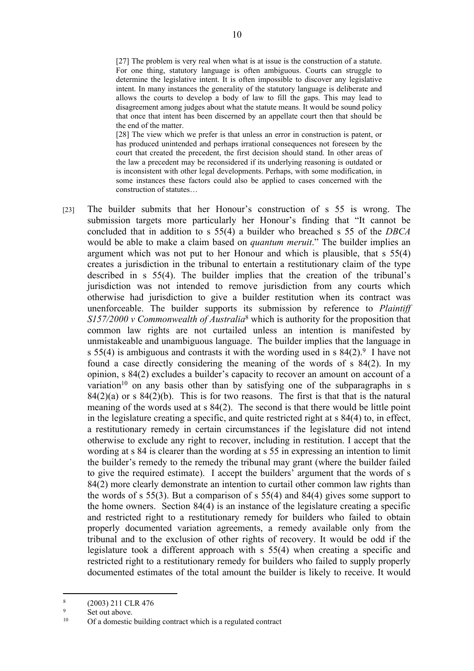[27] The problem is very real when what is at issue is the construction of a statute. For one thing, statutory language is often ambiguous. Courts can struggle to determine the legislative intent. It is often impossible to discover any legislative intent. In many instances the generality of the statutory language is deliberate and allows the courts to develop a body of law to fill the gaps. This may lead to disagreement among judges about what the statute means. It would be sound policy that once that intent has been discerned by an appellate court then that should be the end of the matter.

[28] The view which we prefer is that unless an error in construction is patent, or has produced unintended and perhaps irrational consequences not foreseen by the court that created the precedent, the first decision should stand. In other areas of the law a precedent may be reconsidered if its underlying reasoning is outdated or is inconsistent with other legal developments. Perhaps, with some modification, in some instances these factors could also be applied to cases concerned with the construction of statutes…

[23] The builder submits that her Honour's construction of s 55 is wrong. The submission targets more particularly her Honour's finding that "It cannot be concluded that in addition to s 55(4) a builder who breached s 55 of the *DBCA* would be able to make a claim based on *quantum meruit*." The builder implies an argument which was not put to her Honour and which is plausible, that s 55(4) creates a jurisdiction in the tribunal to entertain a restitutionary claim of the type described in s 55(4). The builder implies that the creation of the tribunal's jurisdiction was not intended to remove jurisdiction from any courts which otherwise had jurisdiction to give a builder restitution when its contract was unenforceable. The builder supports its submission by reference to *Plaintiff S157/2000 v Commonwealth of Australia*<sup>8</sup> which is authority for the proposition that common law rights are not curtailed unless an intention is manifested by unmistakeable and unambiguous language. The builder implies that the language in s 55(4) is ambiguous and contrasts it with the wording used in s  $84(2)$ .<sup>9</sup> I have not found a case directly considering the meaning of the words of s 84(2). In my opinion, s 84(2) excludes a builder's capacity to recover an amount on account of a variation<sup>10</sup> on any basis other than by satisfying one of the subparagraphs in s  $84(2)(a)$  or s  $84(2)(b)$ . This is for two reasons. The first is that that is the natural meaning of the words used at s 84(2). The second is that there would be little point in the legislature creating a specific, and quite restricted right at s 84(4) to, in effect, a restitutionary remedy in certain circumstances if the legislature did not intend otherwise to exclude any right to recover, including in restitution. I accept that the wording at s 84 is clearer than the wording at s 55 in expressing an intention to limit the builder's remedy to the remedy the tribunal may grant (where the builder failed to give the required estimate). I accept the builders' argument that the words of s 84(2) more clearly demonstrate an intention to curtail other common law rights than the words of s 55(3). But a comparison of s 55(4) and 84(4) gives some support to the home owners. Section 84(4) is an instance of the legislature creating a specific and restricted right to a restitutionary remedy for builders who failed to obtain properly documented variation agreements, a remedy available only from the tribunal and to the exclusion of other rights of recovery. It would be odd if the legislature took a different approach with s 55(4) when creating a specific and restricted right to a restitutionary remedy for builders who failed to supply properly documented estimates of the total amount the builder is likely to receive. It would

<sup>8</sup> (2003) 211 CLR 476

<sup>9</sup>  $\frac{9}{10}$  Set out above.

<sup>10</sup> Of a domestic building contract which is a regulated contract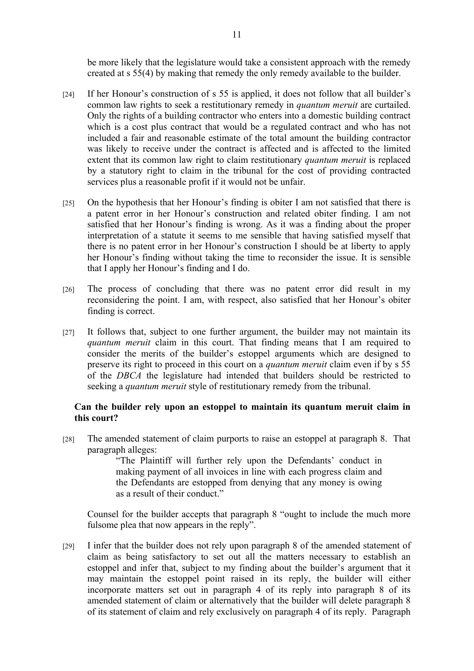be more likely that the legislature would take a consistent approach with the remedy created at s 55(4) by making that remedy the only remedy available to the builder.

- [24] If her Honour's construction of s 55 is applied, it does not follow that all builder's common law rights to seek a restitutionary remedy in *quantum meruit* are curtailed. Only the rights of a building contractor who enters into a domestic building contract which is a cost plus contract that would be a regulated contract and who has not included a fair and reasonable estimate of the total amount the building contractor was likely to receive under the contract is affected and is affected to the limited extent that its common law right to claim restitutionary *quantum meruit* is replaced by a statutory right to claim in the tribunal for the cost of providing contracted services plus a reasonable profit if it would not be unfair.
- [25] On the hypothesis that her Honour's finding is obiter I am not satisfied that there is a patent error in her Honour's construction and related obiter finding. I am not satisfied that her Honour's finding is wrong. As it was a finding about the proper interpretation of a statute it seems to me sensible that having satisfied myself that there is no patent error in her Honour's construction I should be at liberty to apply her Honour's finding without taking the time to reconsider the issue. It is sensible that I apply her Honour's finding and I do.
- [26] The process of concluding that there was no patent error did result in my reconsidering the point. I am, with respect, also satisfied that her Honour's obiter finding is correct.
- [27] It follows that, subject to one further argument, the builder may not maintain its *quantum meruit* claim in this court. That finding means that I am required to consider the merits of the builder's estoppel arguments which are designed to preserve its right to proceed in this court on a *quantum meruit* claim even if by s 55 of the *DBCA* the legislature had intended that builders should be restricted to seeking a *quantum meruit* style of restitutionary remedy from the tribunal.

#### **Can the builder rely upon an estoppel to maintain its quantum meruit claim in this court?**

[28] The amended statement of claim purports to raise an estoppel at paragraph 8. That paragraph alleges:

> "The Plaintiff will further rely upon the Defendants' conduct in making payment of all invoices in line with each progress claim and the Defendants are estopped from denying that any money is owing as a result of their conduct."

Counsel for the builder accepts that paragraph 8 "ought to include the much more fulsome plea that now appears in the reply".

[29] I infer that the builder does not rely upon paragraph 8 of the amended statement of claim as being satisfactory to set out all the matters necessary to establish an estoppel and infer that, subject to my finding about the builder's argument that it may maintain the estoppel point raised in its reply, the builder will either incorporate matters set out in paragraph 4 of its reply into paragraph 8 of its amended statement of claim or alternatively that the builder will delete paragraph 8 of its statement of claim and rely exclusively on paragraph 4 of its reply. Paragraph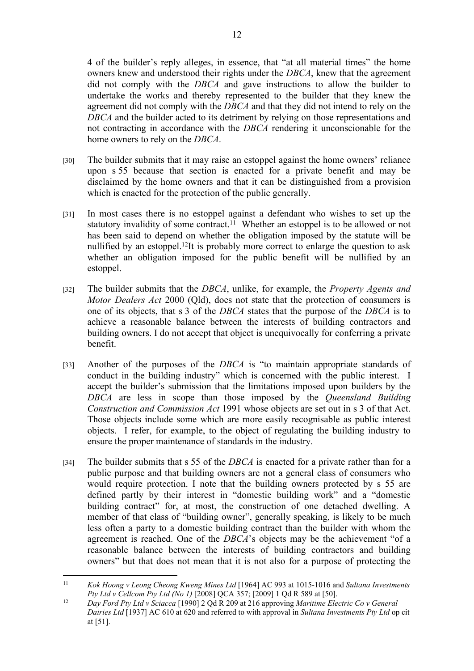4 of the builder's reply alleges, in essence, that "at all material times" the home owners knew and understood their rights under the *DBCA*, knew that the agreement did not comply with the *DBCA* and gave instructions to allow the builder to undertake the works and thereby represented to the builder that they knew the agreement did not comply with the *DBCA* and that they did not intend to rely on the *DBCA* and the builder acted to its detriment by relying on those representations and not contracting in accordance with the *DBCA* rendering it unconscionable for the home owners to rely on the *DBCA*.

- [30] The builder submits that it may raise an estoppel against the home owners' reliance upon s 55 because that section is enacted for a private benefit and may be disclaimed by the home owners and that it can be distinguished from a provision which is enacted for the protection of the public generally.
- [31] In most cases there is no estoppel against a defendant who wishes to set up the statutory invalidity of some contract.<sup>11</sup> Whether an estoppel is to be allowed or not has been said to depend on whether the obligation imposed by the statute will be nullified by an estoppel.<sup>12</sup>It is probably more correct to enlarge the question to ask whether an obligation imposed for the public benefit will be nullified by an estoppel.
- [32] The builder submits that the *DBCA*, unlike, for example, the *Property Agents and Motor Dealers Act* 2000 (Qld), does not state that the protection of consumers is one of its objects, that s 3 of the *DBCA* states that the purpose of the *DBCA* is to achieve a reasonable balance between the interests of building contractors and building owners. I do not accept that object is unequivocally for conferring a private benefit.
- [33] Another of the purposes of the *DBCA* is "to maintain appropriate standards of conduct in the building industry" which is concerned with the public interest. I accept the builder's submission that the limitations imposed upon builders by the *DBCA* are less in scope than those imposed by the *Queensland Building Construction and Commission Act* 1991 whose objects are set out in s 3 of that Act. Those objects include some which are more easily recognisable as public interest objects. I refer, for example, to the object of regulating the building industry to ensure the proper maintenance of standards in the industry.
- [34] The builder submits that s 55 of the *DBCA* is enacted for a private rather than for a public purpose and that building owners are not a general class of consumers who would require protection. I note that the building owners protected by s 55 are defined partly by their interest in "domestic building work" and a "domestic building contract" for, at most, the construction of one detached dwelling. A member of that class of "building owner", generally speaking, is likely to be much less often a party to a domestic building contract than the builder with whom the agreement is reached. One of the *DBCA*'s objects may be the achievement "of a reasonable balance between the interests of building contractors and building owners" but that does not mean that it is not also for a purpose of protecting the

<sup>11</sup> *Kok Hoong v Leong Cheong Kweng Mines Ltd* [1964] AC 993 at 1015-1016 and *Sultana Investments Pty Ltd v Cellcom Pty Ltd (No 1)* [2008] QCA 357; [2009] 1 Qd R 589 at [50].

<sup>12</sup> *Day Ford Pty Ltd v Sciacca* [1990] 2 Qd R 209 at 216 approving *Maritime Electric Co v General Dairies Ltd* [1937] AC 610 at 620 and referred to with approval in *Sultana Investments Pty Ltd* op cit at [51].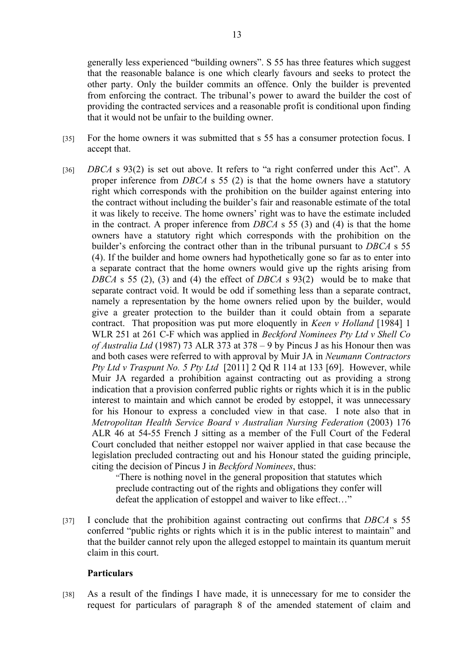generally less experienced "building owners". S 55 has three features which suggest that the reasonable balance is one which clearly favours and seeks to protect the other party. Only the builder commits an offence. Only the builder is prevented from enforcing the contract. The tribunal's power to award the builder the cost of providing the contracted services and a reasonable profit is conditional upon finding that it would not be unfair to the building owner.

- [35] For the home owners it was submitted that s 55 has a consumer protection focus. I accept that.
- [36] *DBCA* s 93(2) is set out above. It refers to "a right conferred under this Act". A proper inference from *DBCA* s 55 (2) is that the home owners have a statutory right which corresponds with the prohibition on the builder against entering into the contract without including the builder's fair and reasonable estimate of the total it was likely to receive. The home owners' right was to have the estimate included in the contract. A proper inference from *DBCA* s 55 (3) and (4) is that the home owners have a statutory right which corresponds with the prohibition on the builder's enforcing the contract other than in the tribunal pursuant to *DBCA* s 55 (4). If the builder and home owners had hypothetically gone so far as to enter into a separate contract that the home owners would give up the rights arising from *DBCA* s 55 (2), (3) and (4) the effect of *DBCA* s 93(2) would be to make that separate contract void. It would be odd if something less than a separate contract, namely a representation by the home owners relied upon by the builder, would give a greater protection to the builder than it could obtain from a separate contract. That proposition was put more eloquently in *Keen v Holland* [1984] 1 WLR 251 at 261 C-F which was applied in *Beckford Nominees Pty Ltd v Shell Co of Australia Ltd* (1987) 73 ALR 373 at 378 – 9 by Pincus J as his Honour then was and both cases were referred to with approval by Muir JA in *Neumann Contractors Pty Ltd v Traspunt No. 5 Pty Ltd* [2011] 2 Qd R 114 at 133 [69]. However, while Muir JA regarded a prohibition against contracting out as providing a strong indication that a provision conferred public rights or rights which it is in the public interest to maintain and which cannot be eroded by estoppel, it was unnecessary for his Honour to express a concluded view in that case. I note also that in *Metropolitan Health Service Board v Australian Nursing Federation* (2003) 176 ALR 46 at 54-55 French J sitting as a member of the Full Court of the Federal Court concluded that neither estoppel nor waiver applied in that case because the legislation precluded contracting out and his Honour stated the guiding principle, citing the decision of Pincus J in *Beckford Nominees*, thus:

"There is nothing novel in the general proposition that statutes which preclude contracting out of the rights and obligations they confer will defeat the application of estoppel and waiver to like effect…"

[37] I conclude that the prohibition against contracting out confirms that *DBCA* s 55 conferred "public rights or rights which it is in the public interest to maintain" and that the builder cannot rely upon the alleged estoppel to maintain its quantum meruit claim in this court.

#### **Particulars**

[38] As a result of the findings I have made, it is unnecessary for me to consider the request for particulars of paragraph 8 of the amended statement of claim and